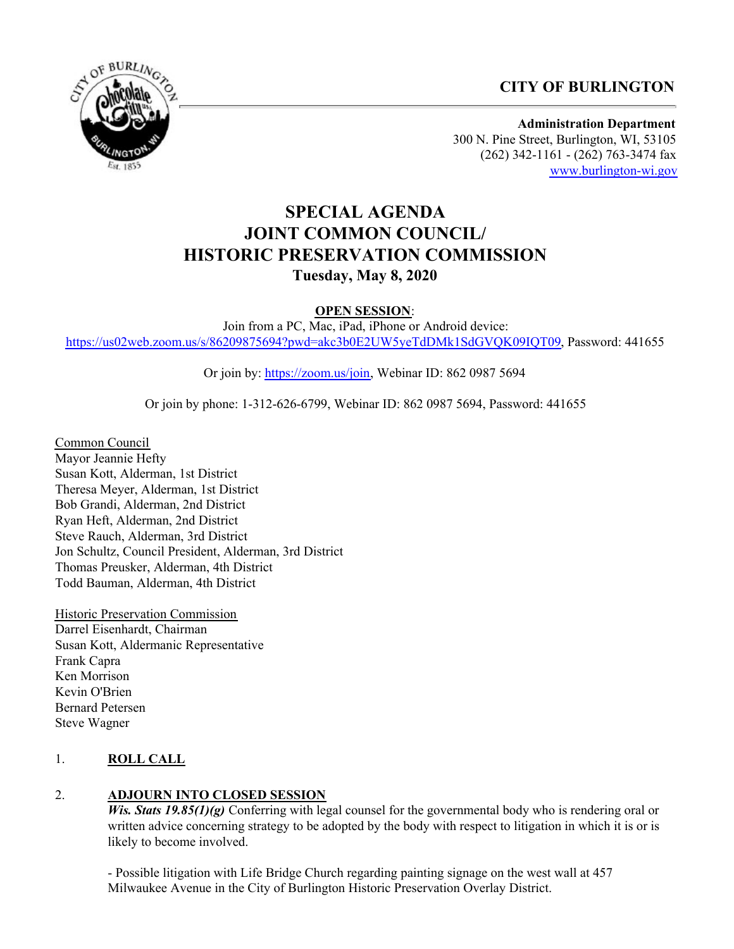## **CITY OF BURLINGTON**



**Administration Department** 300 N. Pine Street, Burlington, WI, 53105 (262) 342-1161 - (262) 763-3474 fax [www.burlington-wi.gov](http://www.burlington-wi.gov)

# **SPECIAL AGENDA JOINT COMMON COUNCIL/ HISTORIC PRESERVATION COMMISSION Tuesday, May 8, 2020**

**OPEN SESSION**:

Join from a PC, Mac, iPad, iPhone or Android device: <https://us02web.zoom.us/s/86209875694?pwd=akc3b0E2UW5yeTdDMk1SdGVQK09IQT09>, Password: 441655

Or join by:<https://zoom.us/join>, Webinar ID: 862 0987 5694

Or join by phone: 1-312-626-6799, Webinar ID: 862 0987 5694, Password: 441655

Common Council Mayor Jeannie Hefty Susan Kott, Alderman, 1st District Theresa Meyer, Alderman, 1st District Bob Grandi, Alderman, 2nd District Ryan Heft, Alderman, 2nd District Steve Rauch, Alderman, 3rd District Jon Schultz, Council President, Alderman, 3rd District Thomas Preusker, Alderman, 4th District Todd Bauman, Alderman, 4th District

Historic Preservation Commission Darrel Eisenhardt, Chairman Susan Kott, Aldermanic Representative Frank Capra Ken Morrison Kevin O'Brien Bernard Petersen Steve Wagner

#### 1. **ROLL CALL**

#### 2. **ADJOURN INTO CLOSED SESSION**

*Wis. Stats 19.85(1)(g)* Conferring with legal counsel for the governmental body who is rendering oral or written advice concerning strategy to be adopted by the body with respect to litigation in which it is or is likely to become involved.

- Possible litigation with Life Bridge Church regarding painting signage on the west wall at 457 Milwaukee Avenue in the City of Burlington Historic Preservation Overlay District.